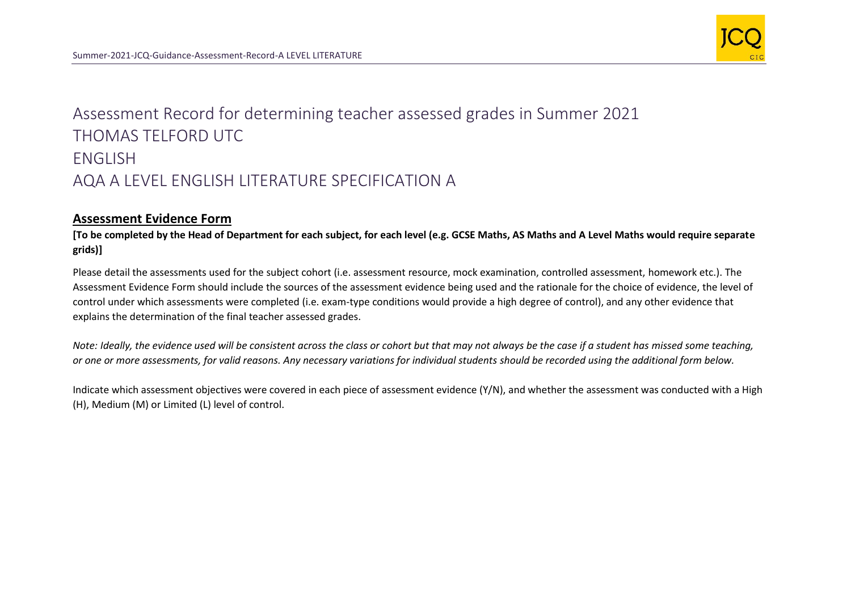

## Assessment Record for determining teacher assessed grades in Summer 2021 THOMAS TELFORD UTC ENGLISH AQA A LEVEL ENGLISH LITERATURE SPECIFICATION A

## **Assessment Evidence Form**

**[To be completed by the Head of Department for each subject, for each level (e.g. GCSE Maths, AS Maths and A Level Maths would require separate grids)]**

Please detail the assessments used for the subject cohort (i.e. assessment resource, mock examination, controlled assessment, homework etc.). The Assessment Evidence Form should include the sources of the assessment evidence being used and the rationale for the choice of evidence, the level of control under which assessments were completed (i.e. exam-type conditions would provide a high degree of control), and any other evidence that explains the determination of the final teacher assessed grades.

*Note: Ideally, the evidence used will be consistent across the class or cohort but that may not always be the case if a student has missed some teaching, or one or more assessments, for valid reasons. Any necessary variations for individual students should be recorded using the additional form below.* 

Indicate which assessment objectives were covered in each piece of assessment evidence (Y/N), and whether the assessment was conducted with a High (H), Medium (M) or Limited (L) level of control.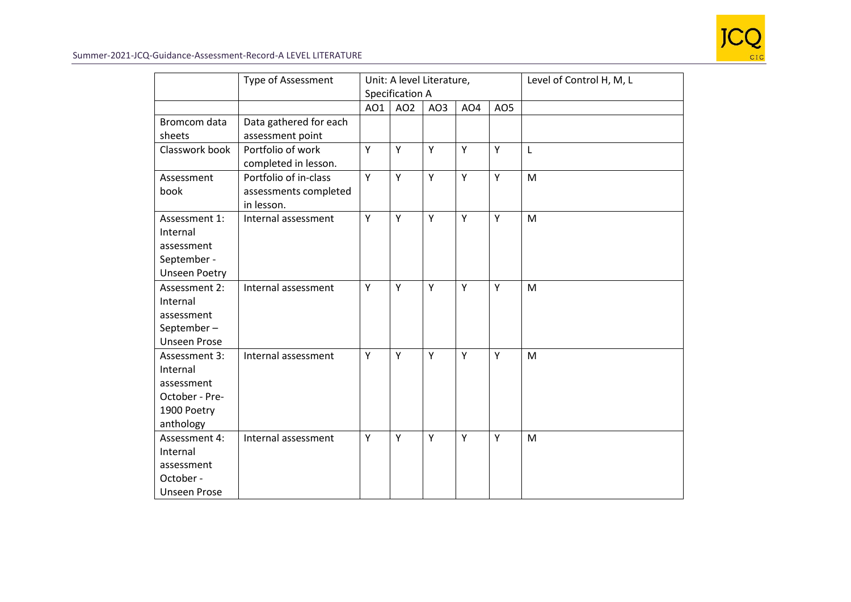

|                                                                                       | <b>Type of Assessment</b>                                    |     | Unit: A level Literature,<br>Specification A |                 |                 |                 | Level of Control H, M, L |
|---------------------------------------------------------------------------------------|--------------------------------------------------------------|-----|----------------------------------------------|-----------------|-----------------|-----------------|--------------------------|
|                                                                                       |                                                              | AO1 | AO <sub>2</sub>                              | AO <sub>3</sub> | AO <sub>4</sub> | AO <sub>5</sub> |                          |
| Bromcom data<br>sheets                                                                | Data gathered for each<br>assessment point                   |     |                                              |                 |                 |                 |                          |
| Classwork book                                                                        | Portfolio of work<br>completed in lesson.                    | Y   | Y                                            | Y               | Y               | Y               | L                        |
| Assessment<br>book                                                                    | Portfolio of in-class<br>assessments completed<br>in lesson. | Y   | Y                                            | Y               | Y               | Y               | M                        |
| Assessment 1:<br>Internal<br>assessment<br>September -<br><b>Unseen Poetry</b>        | Internal assessment                                          | Υ   | Y                                            | Y               | Y               | Y               | M                        |
| Assessment 2:<br>Internal<br>assessment<br>September-<br><b>Unseen Prose</b>          | Internal assessment                                          | Y   | Y                                            | Y               | Y               | Y               | M                        |
| Assessment 3:<br>Internal<br>assessment<br>October - Pre-<br>1900 Poetry<br>anthology | Internal assessment                                          | Y   | Y                                            | Υ               | Y               | Y               | M                        |
| Assessment 4:<br>Internal<br>assessment<br>October -<br><b>Unseen Prose</b>           | Internal assessment                                          | Υ   | Y                                            | Υ               | Y               | Y               | M                        |